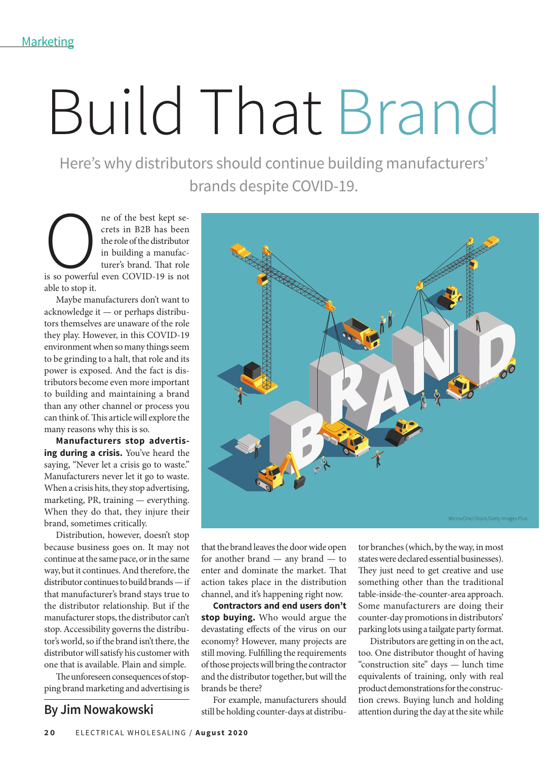## Build That Brand

Here's why distributors should continue building manufacturers' brands despite COVID-19.

ne of the best kept se-<br>crets in B2B has been<br>the role of the distributor<br>in building a manufac-<br>turer's brand. That role<br>is so powerful even COVID-19 is not crets in B2B has been the role of the distributor in building a manufacturer's brand. That role able to stop it.

Maybe manufacturers don't want to acknowledge it — or perhaps distributors themselves are unaware of the role they play. However, in this COVID-19 environment when so many things seem to be grinding to a halt, that role and its power is exposed. And the fact is distributors become even more important to building and maintaining a brand than any other channel or process you can think of. This article will explore the many reasons why this is so.

**Manufacturers stop advertising during a crisis.** You've heard the saying, "Never let a crisis go to waste." Manufacturers never let it go to waste. When a crisis hits, they stop advertising, marketing, PR, training — everything. When they do that, they injure their brand, sometimes critically.

Distribution, however, doesn't stop because business goes on. It may not continue at the same pace, or in the same way, but it continues. And therefore, the distributor continues to build brands — if that manufacturer's brand stays true to the distributor relationship. But if the manufacturer stops, the distributor can't stop. Accessibility governs the distributor's world, so if the brand isn't there, the distributor will satisfy his customer with one that is available. Plain and simple.

The unforeseen consequences of stopping brand marketing and advertising is



that the brand leaves the door wide open for another brand — any brand — to enter and dominate the market. That action takes place in the distribution channel, and it's happening right now.

**Contractors and end users don't stop buying.** Who would argue the devastating effects of the virus on our economy? However, many projects are still moving. Fulfilling the requirements of those projects will bring the contractor and the distributor together, but will the brands be there?

For example, manufacturers should still be holding counter-days at distribu-**By Jim Nowakowski** still be holding counter-days at distribu-<br>attention during the day at the site while

tor branches (which, by the way, in most states were declared essential businesses). They just need to get creative and use something other than the traditional table-inside-the-counter-area approach. Some manufacturers are doing their counter-day promotions in distributors' parking lots using a tailgate party format.

Distributors are getting in on the act, too. One distributor thought of having "construction site" days — lunch time equivalents of training, only with real product demonstrations for the construction crews. Buying lunch and holding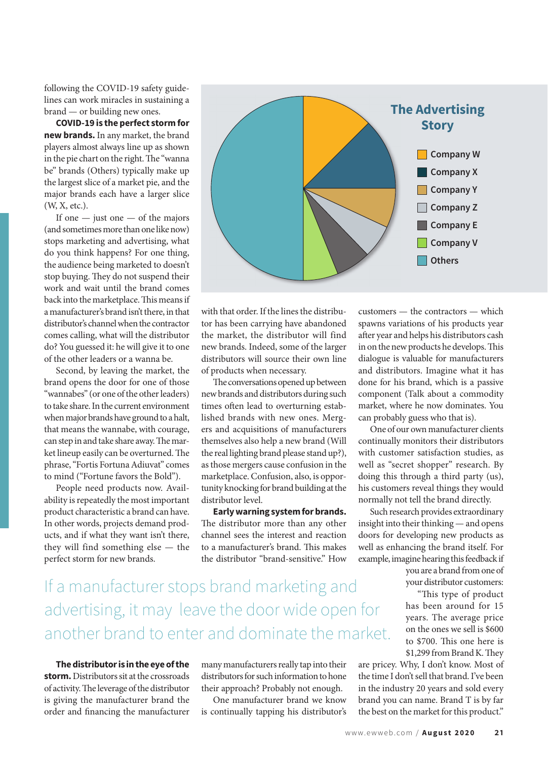following the COVID-19 safety guidelines can work miracles in sustaining a brand — or building new ones.

**COVID-19 is the perfect storm for new brands.** In any market, the brand players almost always line up as shown in the pie chart on the right. The "wanna be" brands (Others) typically make up the largest slice of a market pie, and the major brands each have a larger slice (W, X, etc.).

If one  $-$  just one  $-$  of the majors (and sometimes more than one like now) stops marketing and advertising, what do you think happens? For one thing, the audience being marketed to doesn't stop buying. They do not suspend their work and wait until the brand comes back into the marketplace. This means if a manufacturer's brand isn't there, in that distributor's channel when the contractor comes calling, what will the distributor do? You guessed it: he will give it to one of the other leaders or a wanna be.

Second, by leaving the market, the brand opens the door for one of those "wannabes" (or one of the other leaders) to take share. In the current environment when major brands have ground to a halt, that means the wannabe, with courage, can step in and take share away. The market lineup easily can be overturned. The phrase, "Fortis Fortuna Adiuvat" comes to mind ("Fortune favors the Bold").

People need products now. Availability is repeatedly the most important product characteristic a brand can have. In other words, projects demand products, and if what they want isn't there, they will find something else — the perfect storm for new brands.



with that order. If the lines the distributor has been carrying have abandoned the market, the distributor will find new brands. Indeed, some of the larger distributors will source their own line of products when necessary.

The conversations opened up between new brands and distributors during such times often lead to overturning established brands with new ones. Mergers and acquisitions of manufacturers themselves also help a new brand (Will the real lighting brand please stand up?), as those mergers cause confusion in the marketplace. Confusion, also, is opportunity knocking for brand building at the distributor level.

**Early warning system for brands.** The distributor more than any other channel sees the interest and reaction to a manufacturer's brand. This makes the distributor "brand-sensitive." How

customers — the contractors — which spawns variations of his products year after year and helps his distributors cash in on the new products he develops. This dialogue is valuable for manufacturers and distributors. Imagine what it has done for his brand, which is a passive component (Talk about a commodity market, where he now dominates. You can probably guess who that is).

One of our own manufacturer clients continually monitors their distributors with customer satisfaction studies, as well as "secret shopper" research. By doing this through a third party (us), his customers reveal things they would normally not tell the brand directly.

Such research provides extraordinary insight into their thinking — and opens doors for developing new products as well as enhancing the brand itself. For example, imagine hearing this feedback if

> you are a brand from one of your distributor customers:

"This type of product has been around for 15 years. The average price on the ones we sell is \$600 to \$700. This one here is  $$1,299$  from Brand K. They

are pricey. Why, I don't know. Most of the time I don't sell that brand. I've been in the industry 20 years and sold every brand you can name. Brand T is by far the best on the market for this product."

## If a manufacturer stops brand marketing and advertising, it may leave the door wide open for another brand to enter and dominate the market.

**The distributor is in the eye of the storm.** Distributors sit at the crossroads of activity. The leverage of the distributor is giving the manufacturer brand the order and financing the manufacturer

many manufacturers really tap into their distributors for such information to hone their approach? Probably not enough.

One manufacturer brand we know is continually tapping his distributor's